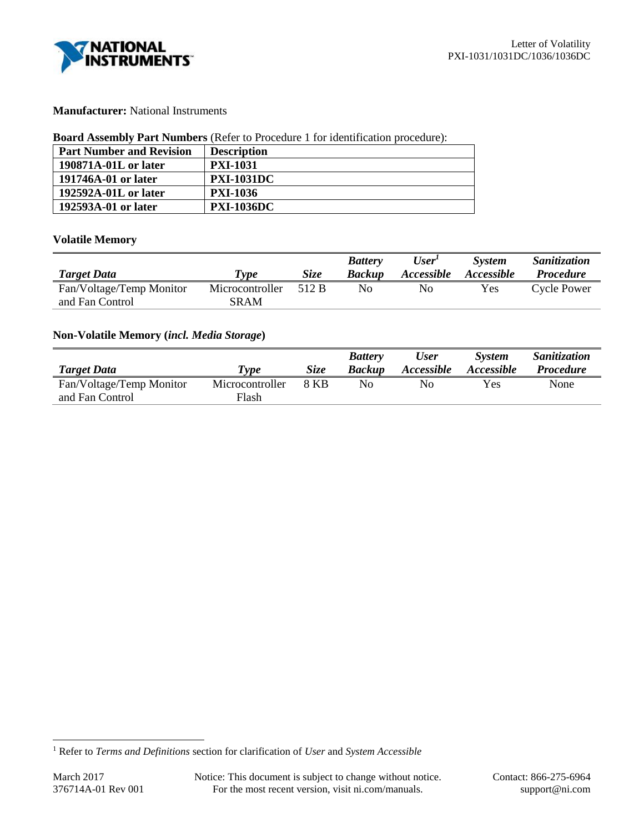

# **Manufacturer:** National Instruments

### **Board Assembly Part Numbers** (Refer to Procedure 1 for identification procedure):

| <b>Part Number and Revision</b> | <b>Description</b> |
|---------------------------------|--------------------|
| 190871A-01L or later            | <b>PXI-1031</b>    |
| 191746A-01 or later             | <b>PXI-1031DC</b>  |
| 192592A-01L or later            | <b>PXI-1036</b>    |
| 192593A-01 or later             | <b>PXI-1036DC</b>  |

# **Volatile Memory**

|                          |                 |             | <b>Battery</b> | User <sup>1</sup> | <b>System</b>     | Sanitization     |
|--------------------------|-----------------|-------------|----------------|-------------------|-------------------|------------------|
| <b>Target Data</b>       | Type            | <i>Size</i> | <b>Backup</b>  | <i>Accessible</i> | <i>Accessible</i> | <i>Procedure</i> |
| Fan/Voltage/Temp Monitor | Microcontroller | 512 B       | No             | No                | Yes               | Cycle Power      |
| and Fan Control          | SRAM            |             |                |                   |                   |                  |

# **Non-Volatile Memory (***incl. Media Storage***)**

|                          |                 |             | <b>Battery</b> | <b>User</b>       | <b>System</b>     | Sanitization     |
|--------------------------|-----------------|-------------|----------------|-------------------|-------------------|------------------|
| <b>Target Data</b>       | Type            | <b>Size</b> | <b>Backup</b>  | <i>Accessible</i> | <i>Accessible</i> | <i>Procedure</i> |
| Fan/Voltage/Temp Monitor | Microcontroller | 8 KB        | Nο             | Nο                | Yes               | None             |
| and Fan Control          | Flash           |             |                |                   |                   |                  |

l

<sup>1</sup> Refer to *Terms and Definitions* section for clarification of *User* and *System Accessible*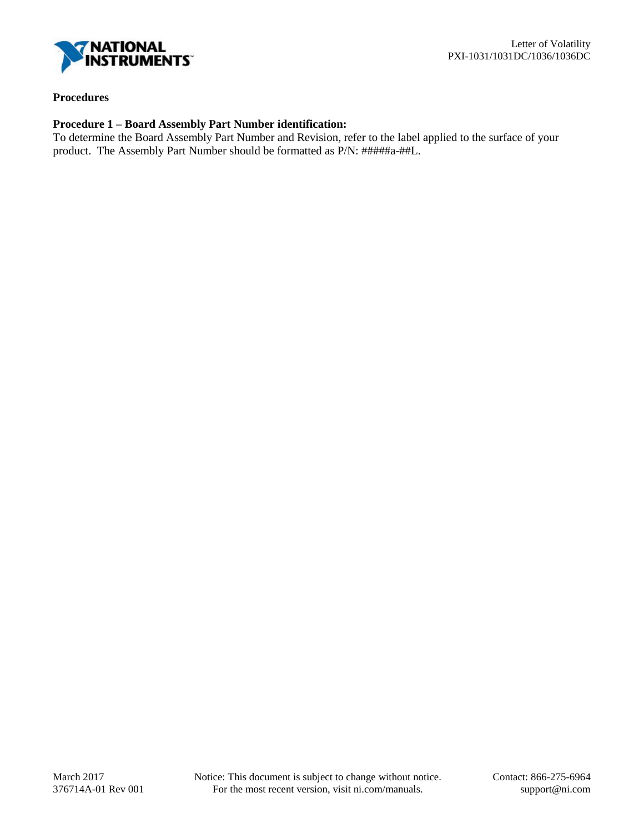

# **Procedures**

# **Procedure 1 – Board Assembly Part Number identification:**

To determine the Board Assembly Part Number and Revision, refer to the label applied to the surface of your product. The Assembly Part Number should be formatted as P/N: #####a-##L.